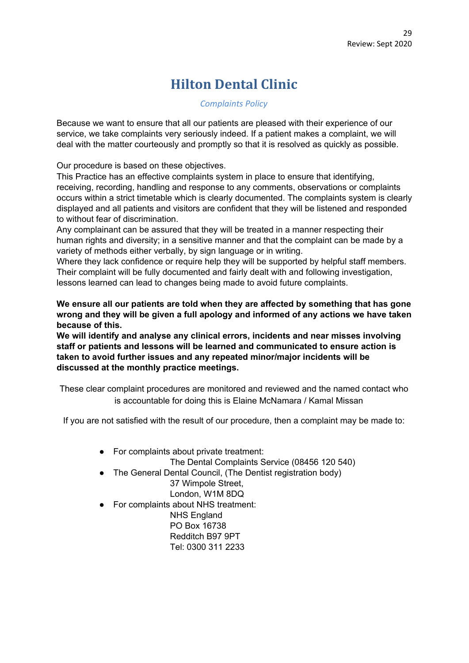## **Hilton Dental Clinic**

## *Complaints Policy*

Because we want to ensure that all our patients are pleased with their experience of our service, we take complaints very seriously indeed. If a patient makes a complaint, we will deal with the matter courteously and promptly so that it is resolved as quickly as possible.

Our procedure is based on these objectives.

This Practice has an effective complaints system in place to ensure that identifying, receiving, recording, handling and response to any comments, observations or complaints occurs within a strict timetable which is clearly documented. The complaints system is clearly displayed and all patients and visitors are confident that they will be listened and responded to without fear of discrimination.

Any complainant can be assured that they will be treated in a manner respecting their human rights and diversity; in a sensitive manner and that the complaint can be made by a variety of methods either verbally, by sign language or in writing.

Where they lack confidence or require help they will be supported by helpful staff members. Their complaint will be fully documented and fairly dealt with and following investigation, lessons learned can lead to changes being made to avoid future complaints.

**We ensure all our patients are told when they are affected by something that has gone wrong and they will be given a full apology and informed of any actions we have taken because of this.**

**We will identify and analyse any clinical errors, incidents and near misses involving staff or patients and lessons will be learned and communicated to ensure action is taken to avoid further issues and any repeated minor/major incidents will be discussed at the monthly practice meetings.**

These clear complaint procedures are monitored and reviewed and the named contact who is accountable for doing this is Elaine McNamara / Kamal Missan

If you are not satisfied with the result of our procedure, then a complaint may be made to:

● For complaints about private treatment:

The Dental Complaints Service (08456 120 540)

• The General Dental Council, (The Dentist registration body) 37 Wimpole Street,

London, W1M 8DQ

● For complaints about NHS treatment:

NHS England PO Box 16738 Redditch B97 9PT Tel: 0300 311 2233